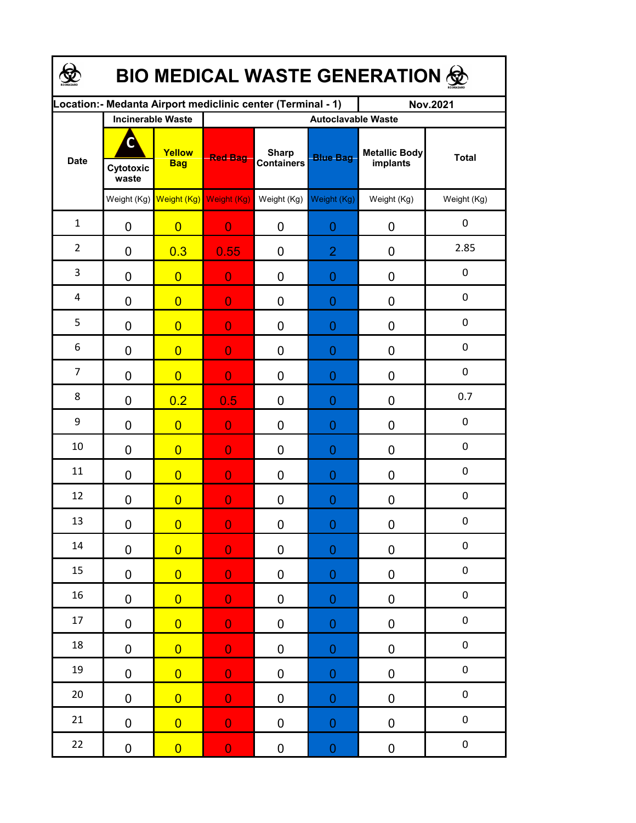| <b>BIO MEDICAL WASTE GENERATION ®</b> |                    |                          |                                                             |                                   |                  |                                  |                  |  |  |  |
|---------------------------------------|--------------------|--------------------------|-------------------------------------------------------------|-----------------------------------|------------------|----------------------------------|------------------|--|--|--|
|                                       |                    |                          | Location:- Medanta Airport mediclinic center (Terminal - 1) |                                   |                  | <b>Nov.2021</b>                  |                  |  |  |  |
|                                       |                    | <b>Incinerable Waste</b> | <b>Autoclavable Waste</b>                                   |                                   |                  |                                  |                  |  |  |  |
| <b>Date</b>                           | Cytotoxic<br>waste | Yellow<br><b>Bag</b>     | <b>Red Bag</b>                                              | <b>Sharp</b><br><b>Containers</b> | <b>Blue Bag</b>  | <b>Metallic Body</b><br>implants | <b>Total</b>     |  |  |  |
|                                       |                    | Weight (Kg) Weight (Kg)  | Weight (Kg)                                                 | Weight (Kg)                       | Weight (Kg)      | Weight (Kg)                      | Weight (Kg)      |  |  |  |
| $\mathbf{1}$                          | 0                  | $\overline{0}$           | $\overline{0}$                                              | 0                                 | 0                | 0                                | $\pmb{0}$        |  |  |  |
| $\overline{2}$                        | 0                  | 0.3                      | 0.55                                                        | 0                                 | $\overline{2}$   | 0                                | 2.85             |  |  |  |
| 3                                     | 0                  | $\overline{0}$           | $\overline{0}$                                              | 0                                 | $\overline{0}$   | 0                                | $\pmb{0}$        |  |  |  |
| 4                                     | 0                  | $\overline{0}$           | $\overline{0}$                                              | 0                                 | $\overline{0}$   | 0                                | $\pmb{0}$        |  |  |  |
| 5                                     | 0                  | $\overline{0}$           | $\overline{0}$                                              | $\overline{0}$                    | $\overline{0}$   | 0                                | $\pmb{0}$        |  |  |  |
| 6                                     | 0                  | $\overline{0}$           | $\overline{0}$                                              | 0                                 | $\overline{0}$   | $\mathbf 0$                      | $\mathbf 0$      |  |  |  |
| $\overline{7}$                        | 0                  | $\overline{0}$           | $\overline{0}$                                              | $\overline{0}$                    | $\overline{0}$   | $\overline{0}$                   | $\mathbf 0$      |  |  |  |
| 8                                     | 0                  | 0.2                      | 0.5                                                         | $\overline{0}$                    | $\overline{0}$   | 0                                | 0.7              |  |  |  |
| 9                                     | 0                  | $\overline{0}$           | $\overline{0}$                                              | $\overline{0}$                    | $\overline{0}$   | 0                                | 0                |  |  |  |
| 10                                    | 0                  | $\overline{0}$           | $\overline{0}$                                              | $\overline{0}$                    | 0                | 0                                | 0                |  |  |  |
| 11                                    | 0                  | $\overline{0}$           | $\overline{0}$                                              | 0                                 | $\overline{0}$   | 0                                | 0                |  |  |  |
| 12                                    | 0                  | $\overline{0}$           | $\overline{0}$                                              | 0                                 | 0                | 0                                | $\boldsymbol{0}$ |  |  |  |
| 13                                    | $\pmb{0}$          | $\overline{0}$           | $\overline{\mathbf{0}}$                                     | $\pmb{0}$                         | $\boldsymbol{0}$ | $\pmb{0}$                        | 0                |  |  |  |
| 14                                    | $\mathbf 0$        | $\overline{0}$           | $\mathbf 0$                                                 | $\pmb{0}$                         | $\mathbf{0}$     | $\pmb{0}$                        | $\pmb{0}$        |  |  |  |
| 15                                    | 0                  | $\overline{0}$           | $\mathbf 0$                                                 | $\pmb{0}$                         | $\boldsymbol{0}$ | $\pmb{0}$                        | $\pmb{0}$        |  |  |  |
| 16                                    | 0                  | $\overline{0}$           | $\mathbf 0$                                                 | $\pmb{0}$                         | $\boldsymbol{0}$ | $\pmb{0}$                        | $\pmb{0}$        |  |  |  |
| 17                                    | $\mathbf 0$        | $\overline{0}$           | $\mathbf 0$                                                 | 0                                 | $\boldsymbol{0}$ | $\pmb{0}$                        | $\pmb{0}$        |  |  |  |
| 18                                    | $\mathbf 0$        | $\overline{0}$           | $\mathbf 0$                                                 | $\pmb{0}$                         | $\boldsymbol{0}$ | $\pmb{0}$                        | $\pmb{0}$        |  |  |  |
| 19                                    | $\mathbf 0$        | $\overline{0}$           | $\mathbf 0$                                                 | $\pmb{0}$                         | $\boldsymbol{0}$ | $\pmb{0}$                        | $\pmb{0}$        |  |  |  |
| $20\,$                                | $\pmb{0}$          | $\overline{0}$           | $\mathbf 0$                                                 | $\pmb{0}$                         | $\boldsymbol{0}$ | $\pmb{0}$                        | $\pmb{0}$        |  |  |  |
| 21                                    | 0                  | $\overline{0}$           | $\overline{0}$                                              | $\pmb{0}$                         | $\pmb{0}$        | $\pmb{0}$                        | $\pmb{0}$        |  |  |  |
| 22                                    | 0                  | $\overline{0}$           | $\mathbf 0$                                                 | 0                                 | $\boldsymbol{0}$ | $\pmb{0}$                        | ${\bf 0}$        |  |  |  |